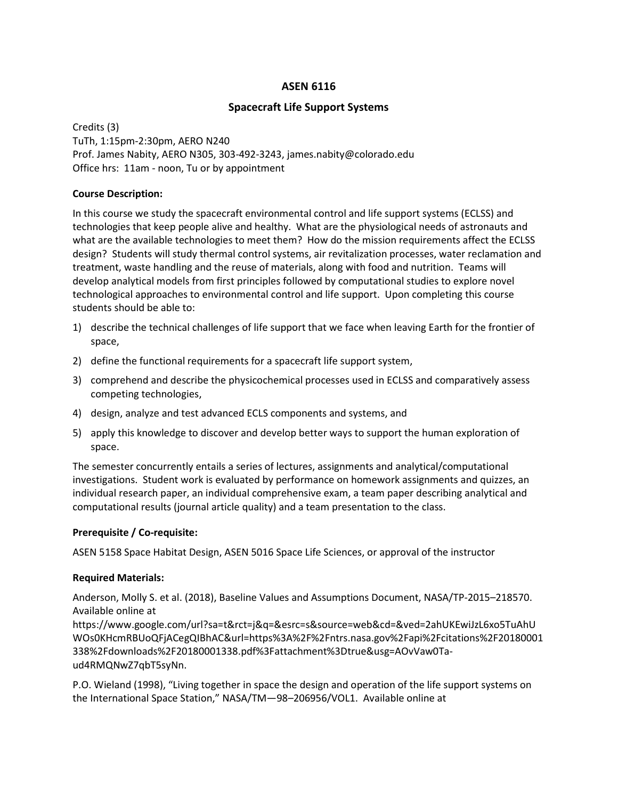# ASEN 6116

# Spacecraft Life Support Systems

Credits (3) TuTh, 1:15pm-2:30pm, AERO N240 Prof. James Nabity, AERO N305, 303-492-3243, james.nabity@colorado.edu Office hrs: 11am - noon, Tu or by appointment

## Course Description:

In this course we study the spacecraft environmental control and life support systems (ECLSS) and technologies that keep people alive and healthy. What are the physiological needs of astronauts and what are the available technologies to meet them? How do the mission requirements affect the ECLSS design? Students will study thermal control systems, air revitalization processes, water reclamation and treatment, waste handling and the reuse of materials, along with food and nutrition. Teams will develop analytical models from first principles followed by computational studies to explore novel technological approaches to environmental control and life support. Upon completing this course students should be able to:

- 1) describe the technical challenges of life support that we face when leaving Earth for the frontier of space,
- 2) define the functional requirements for a spacecraft life support system,
- 3) comprehend and describe the physicochemical processes used in ECLSS and comparatively assess competing technologies,
- 4) design, analyze and test advanced ECLS components and systems, and
- 5) apply this knowledge to discover and develop better ways to support the human exploration of space.

The semester concurrently entails a series of lectures, assignments and analytical/computational investigations. Student work is evaluated by performance on homework assignments and quizzes, an individual research paper, an individual comprehensive exam, a team paper describing analytical and computational results (journal article quality) and a team presentation to the class.

# Prerequisite / Co-requisite:

ASEN 5158 Space Habitat Design, ASEN 5016 Space Life Sciences, or approval of the instructor

### Required Materials:

Anderson, Molly S. et al. (2018), Baseline Values and Assumptions Document, NASA/TP-2015–218570. Available online at

https://www.google.com/url?sa=t&rct=j&q=&esrc=s&source=web&cd=&ved=2ahUKEwiJzL6xo5TuAhU WOs0KHcmRBUoQFjACegQIBhAC&url=https%3A%2F%2Fntrs.nasa.gov%2Fapi%2Fcitations%2F20180001 338%2Fdownloads%2F20180001338.pdf%3Fattachment%3Dtrue&usg=AOvVaw0Taud4RMQNwZ7qbT5syNn.

P.O. Wieland (1998), "Living together in space the design and operation of the life support systems on the International Space Station," NASA/TM—98–206956/VOL1. Available online at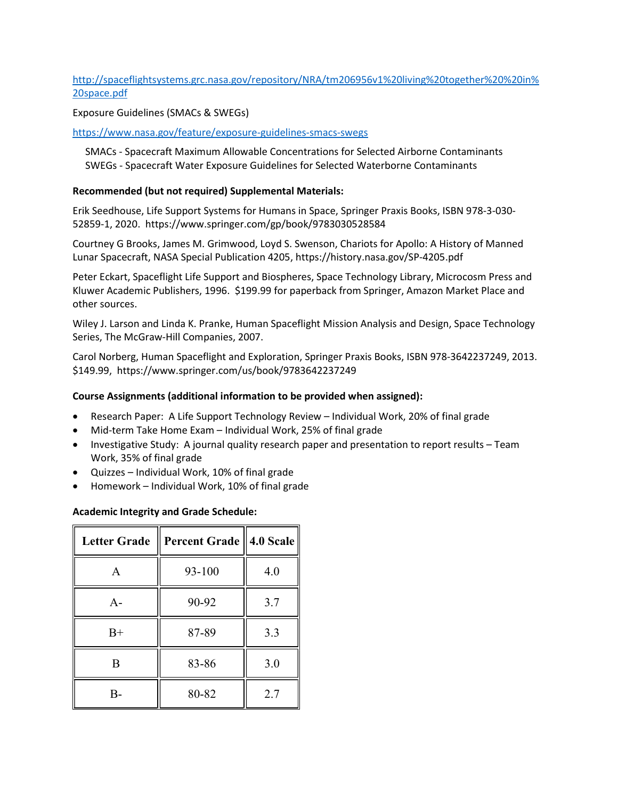http://spaceflightsystems.grc.nasa.gov/repository/NRA/tm206956v1%20living%20together%20%20in% 20space.pdf

Exposure Guidelines (SMACs & SWEGs)

https://www.nasa.gov/feature/exposure-guidelines-smacs-swegs

 SMACs - Spacecraft Maximum Allowable Concentrations for Selected Airborne Contaminants SWEGs - Spacecraft Water Exposure Guidelines for Selected Waterborne Contaminants

#### Recommended (but not required) Supplemental Materials:

Erik Seedhouse, Life Support Systems for Humans in Space, Springer Praxis Books, ISBN 978-3-030- 52859-1, 2020. https://www.springer.com/gp/book/9783030528584

Courtney G Brooks, James M. Grimwood, Loyd S. Swenson, Chariots for Apollo: A History of Manned Lunar Spacecraft, NASA Special Publication 4205, https://history.nasa.gov/SP-4205.pdf

Peter Eckart, Spaceflight Life Support and Biospheres, Space Technology Library, Microcosm Press and Kluwer Academic Publishers, 1996. \$199.99 for paperback from Springer, Amazon Market Place and other sources.

Wiley J. Larson and Linda K. Pranke, Human Spaceflight Mission Analysis and Design, Space Technology Series, The McGraw-Hill Companies, 2007.

Carol Norberg, Human Spaceflight and Exploration, Springer Praxis Books, ISBN 978-3642237249, 2013. \$149.99, https://www.springer.com/us/book/9783642237249

#### Course Assignments (additional information to be provided when assigned):

- Research Paper: A Life Support Technology Review Individual Work, 20% of final grade
- Mid-term Take Home Exam Individual Work, 25% of final grade
- Investigative Study: A journal quality research paper and presentation to report results Team Work, 35% of final grade
- Quizzes Individual Work, 10% of final grade
- Homework Individual Work, 10% of final grade

#### Academic Integrity and Grade Schedule:

| <b>Letter Grade</b> | Percent Grade    4.0 Scale |     |
|---------------------|----------------------------|-----|
| A                   | 93-100                     | 4.0 |
| $A -$               | 90-92                      | 3.7 |
| $B+$                | 87-89                      | 3.3 |
| B                   | 83-86                      | 3.0 |
| R-                  | 80-82                      | 2.7 |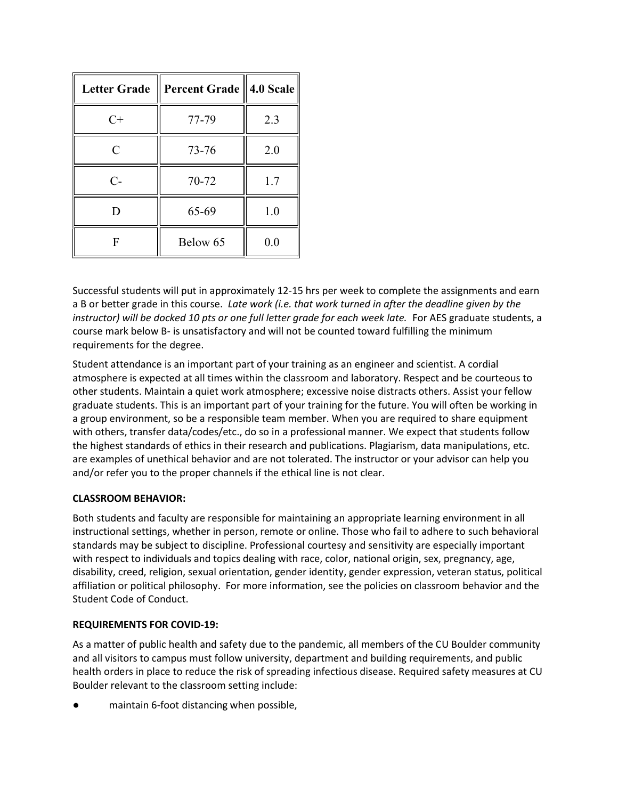| <b>Letter Grade</b> | Percent Grade    4.0 Scale |     |
|---------------------|----------------------------|-----|
| $C+$                | 77-79                      | 2.3 |
| C                   | 73-76                      | 2.0 |
| $C-$                | 70-72                      | 1.7 |
| D                   | 65-69                      | 1.0 |
| F                   | Below 65                   | 0.0 |

Successful students will put in approximately 12-15 hrs per week to complete the assignments and earn a B or better grade in this course. Late work (i.e. that work turned in after the deadline given by the instructor) will be docked 10 pts or one full letter grade for each week late. For AES graduate students, a course mark below B- is unsatisfactory and will not be counted toward fulfilling the minimum requirements for the degree.

Student attendance is an important part of your training as an engineer and scientist. A cordial atmosphere is expected at all times within the classroom and laboratory. Respect and be courteous to other students. Maintain a quiet work atmosphere; excessive noise distracts others. Assist your fellow graduate students. This is an important part of your training for the future. You will often be working in a group environment, so be a responsible team member. When you are required to share equipment with others, transfer data/codes/etc., do so in a professional manner. We expect that students follow the highest standards of ethics in their research and publications. Plagiarism, data manipulations, etc. are examples of unethical behavior and are not tolerated. The instructor or your advisor can help you and/or refer you to the proper channels if the ethical line is not clear.

### CLASSROOM BEHAVIOR:

Both students and faculty are responsible for maintaining an appropriate learning environment in all instructional settings, whether in person, remote or online. Those who fail to adhere to such behavioral standards may be subject to discipline. Professional courtesy and sensitivity are especially important with respect to individuals and topics dealing with race, color, national origin, sex, pregnancy, age, disability, creed, religion, sexual orientation, gender identity, gender expression, veteran status, political affiliation or political philosophy. For more information, see the policies on classroom behavior and the Student Code of Conduct.

### REQUIREMENTS FOR COVID-19:

As a matter of public health and safety due to the pandemic, all members of the CU Boulder community and all visitors to campus must follow university, department and building requirements, and public health orders in place to reduce the risk of spreading infectious disease. Required safety measures at CU Boulder relevant to the classroom setting include:

maintain 6-foot distancing when possible,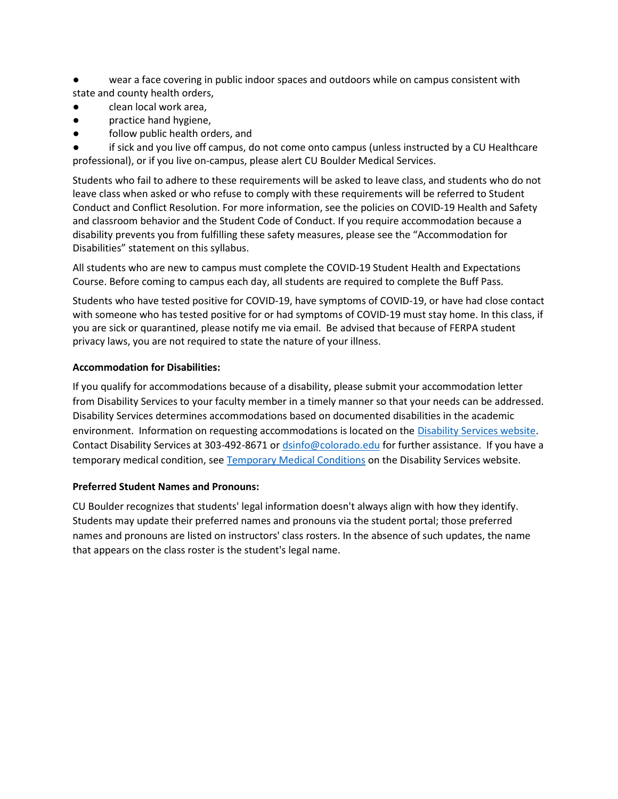wear a face covering in public indoor spaces and outdoors while on campus consistent with state and county health orders,

- clean local work area,
- practice hand hygiene,
- follow public health orders, and

if sick and you live off campus, do not come onto campus (unless instructed by a CU Healthcare professional), or if you live on-campus, please alert CU Boulder Medical Services.

Students who fail to adhere to these requirements will be asked to leave class, and students who do not leave class when asked or who refuse to comply with these requirements will be referred to Student Conduct and Conflict Resolution. For more information, see the policies on COVID-19 Health and Safety and classroom behavior and the Student Code of Conduct. If you require accommodation because a disability prevents you from fulfilling these safety measures, please see the "Accommodation for Disabilities" statement on this syllabus.

All students who are new to campus must complete the COVID-19 Student Health and Expectations Course. Before coming to campus each day, all students are required to complete the Buff Pass.

Students who have tested positive for COVID-19, have symptoms of COVID-19, or have had close contact with someone who has tested positive for or had symptoms of COVID-19 must stay home. In this class, if you are sick or quarantined, please notify me via email. Be advised that because of FERPA student privacy laws, you are not required to state the nature of your illness.

### Accommodation for Disabilities:

If you qualify for accommodations because of a disability, please submit your accommodation letter from Disability Services to your faculty member in a timely manner so that your needs can be addressed. Disability Services determines accommodations based on documented disabilities in the academic environment. Information on requesting accommodations is located on the Disability Services website. Contact Disability Services at 303-492-8671 or dsinfo@colorado.edu for further assistance. If you have a temporary medical condition, see Temporary Medical Conditions on the Disability Services website.

### Preferred Student Names and Pronouns:

CU Boulder recognizes that students' legal information doesn't always align with how they identify. Students may update their preferred names and pronouns via the student portal; those preferred names and pronouns are listed on instructors' class rosters. In the absence of such updates, the name that appears on the class roster is the student's legal name.